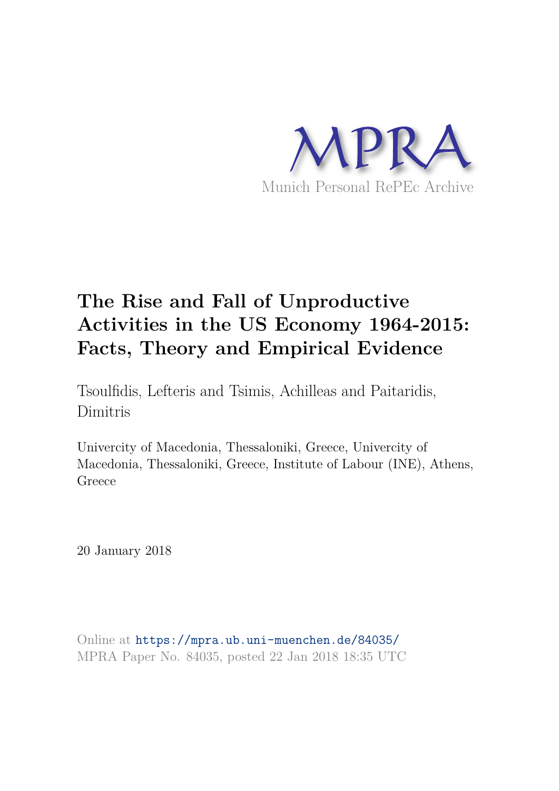

# **The Rise and Fall of Unproductive Activities in the US Economy 1964-2015: Facts, Theory and Empirical Evidence**

Tsoulfidis, Lefteris and Tsimis, Achilleas and Paitaridis, Dimitris

Univercity of Macedonia, Thessaloniki, Greece, Univercity of Macedonia, Thessaloniki, Greece, Institute of Labour (INE), Athens, Greece

20 January 2018

Online at https://mpra.ub.uni-muenchen.de/84035/ MPRA Paper No. 84035, posted 22 Jan 2018 18:35 UTC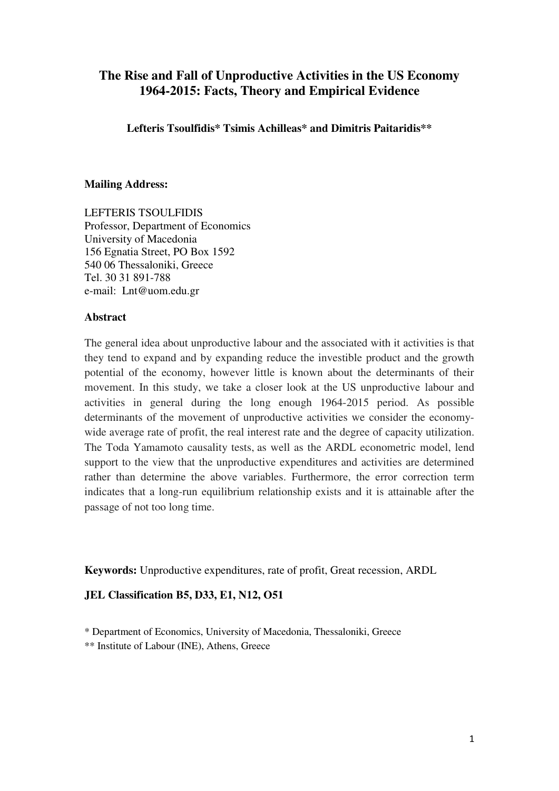# **The Rise and Fall of Unproductive Activities in the US Economy 1964-2015: Facts, Theory and Empirical Evidence**

**Lefteris Tsoulfidis\* Tsimis Achilleas\* and Dimitris Paitaridis\*\*** 

## **Mailing Address:**

LEFTERIS TSOULFIDIS Professor, Department of Economics University of Macedonia 156 Egnatia Street, PO Box 1592 540 06 Thessaloniki, Greece Tel. 30 31 891-788 e-mail: Lnt@uom.edu.gr

## **Abstract**

The general idea about unproductive labour and the associated with it activities is that they tend to expand and by expanding reduce the investible product and the growth potential of the economy, however little is known about the determinants of their movement. In this study, we take a closer look at the US unproductive labour and activities in general during the long enough 1964-2015 period. As possible determinants of the movement of unproductive activities we consider the economywide average rate of profit, the real interest rate and the degree of capacity utilization. The Toda Yamamoto causality tests, as well as the ARDL econometric model, lend support to the view that the unproductive expenditures and activities are determined rather than determine the above variables. Furthermore, the error correction term indicates that a long-run equilibrium relationship exists and it is attainable after the passage of not too long time.

**Keywords:** Unproductive expenditures, rate of profit, Great recession, ARDL

## **JEL Classification B5, D33, E1, N12, O51**

<sup>\*</sup> Department of Economics, University of Macedonia, Thessaloniki, Greece

<sup>\*\*</sup> Institute of Labour (INE), Athens, Greece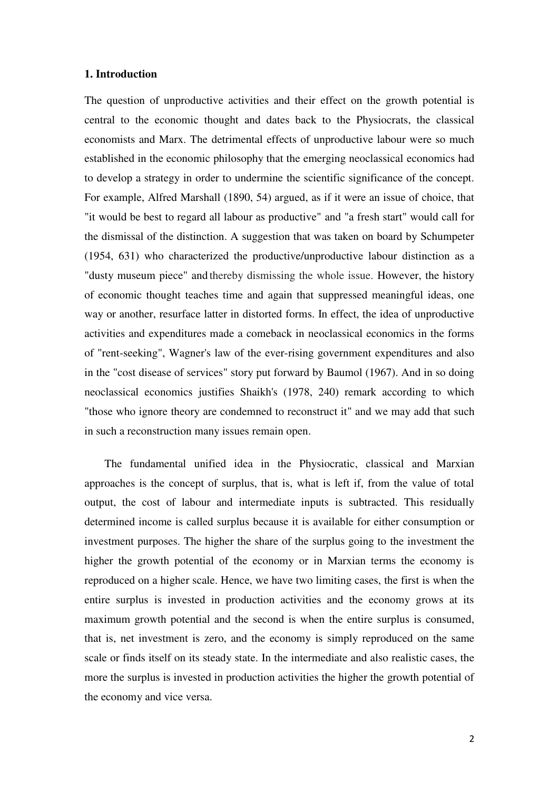## **1. Introduction**

The question of unproductive activities and their effect on the growth potential is central to the economic thought and dates back to the Physiocrats, the classical economists and Marx. The detrimental effects of unproductive labour were so much established in the economic philosophy that the emerging neoclassical economics had to develop a strategy in order to undermine the scientific significance of the concept. For example, Alfred Marshall (1890, 54) argued, as if it were an issue of choice, that "it would be best to regard all labour as productive" and "a fresh start" would call for the dismissal of the distinction. A suggestion that was taken on board by Schumpeter (1954, 631) who characterized the productive/unproductive labour distinction as a "dusty museum piece" and thereby dismissing the whole issue. However, the history of economic thought teaches time and again that suppressed meaningful ideas, one way or another, resurface latter in distorted forms. In effect, the idea of unproductive activities and expenditures made a comeback in neoclassical economics in the forms of "rent-seeking", Wagner's law of the ever-rising government expenditures and also in the "cost disease of services" story put forward by Baumol (1967). And in so doing neoclassical economics justifies Shaikh's (1978, 240) remark according to which "those who ignore theory are condemned to reconstruct it" and we may add that such in such a reconstruction many issues remain open.

The fundamental unified idea in the Physiocratic, classical and Marxian approaches is the concept of surplus, that is, what is left if, from the value of total output, the cost of labour and intermediate inputs is subtracted. This residually determined income is called surplus because it is available for either consumption or investment purposes. The higher the share of the surplus going to the investment the higher the growth potential of the economy or in Marxian terms the economy is reproduced on a higher scale. Hence, we have two limiting cases, the first is when the entire surplus is invested in production activities and the economy grows at its maximum growth potential and the second is when the entire surplus is consumed, that is, net investment is zero, and the economy is simply reproduced on the same scale or finds itself on its steady state. In the intermediate and also realistic cases, the more the surplus is invested in production activities the higher the growth potential of the economy and vice versa.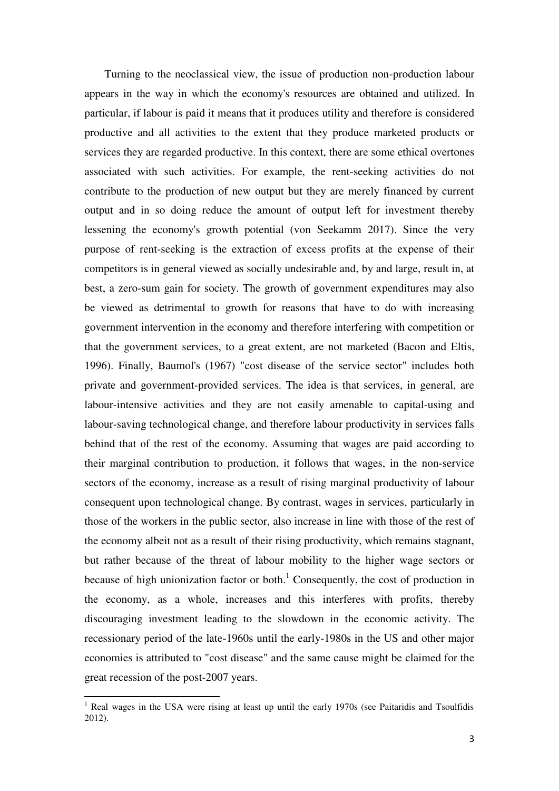Turning to the neoclassical view, the issue of production non-production labour appears in the way in which the economy's resources are obtained and utilized. In particular, if labour is paid it means that it produces utility and therefore is considered productive and all activities to the extent that they produce marketed products or services they are regarded productive. In this context, there are some ethical overtones associated with such activities. For example, the rent-seeking activities do not contribute to the production of new output but they are merely financed by current output and in so doing reduce the amount of output left for investment thereby lessening the economy's growth potential (von Seekamm 2017). Since the very purpose of rent-seeking is the extraction of excess profits at the expense of their competitors is in general viewed as socially undesirable and, by and large, result in, at best, a zero-sum gain for society. The growth of government expenditures may also be viewed as detrimental to growth for reasons that have to do with increasing government intervention in the economy and therefore interfering with competition or that the government services, to a great extent, are not marketed (Bacon and Eltis, 1996). Finally, Baumol's (1967) "cost disease of the service sector" includes both private and government-provided services. The idea is that services, in general, are labour-intensive activities and they are not easily amenable to capital-using and labour-saving technological change, and therefore labour productivity in services falls behind that of the rest of the economy. Assuming that wages are paid according to their marginal contribution to production, it follows that wages, in the non-service sectors of the economy, increase as a result of rising marginal productivity of labour consequent upon technological change. By contrast, wages in services, particularly in those of the workers in the public sector, also increase in line with those of the rest of the economy albeit not as a result of their rising productivity, which remains stagnant, but rather because of the threat of labour mobility to the higher wage sectors or because of high unionization factor or both. $1$  Consequently, the cost of production in the economy, as a whole, increases and this interferes with profits, thereby discouraging investment leading to the slowdown in the economic activity. The recessionary period of the late-1960s until the early-1980s in the US and other major economies is attributed to "cost disease" and the same cause might be claimed for the great recession of the post-2007 years.

 $\overline{a}$ 

<sup>&</sup>lt;sup>1</sup> Real wages in the USA were rising at least up until the early 1970s (see Paitaridis and Tsoulfidis 2012).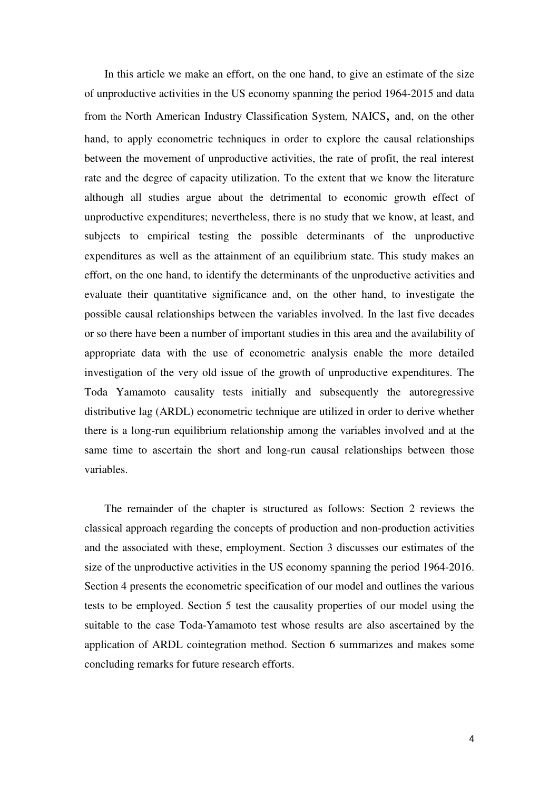In this article we make an effort, on the one hand, to give an estimate of the size of unproductive activities in the US economy spanning the period 1964-2015 and data from the North American Industry Classification System*,* NAICS, and, on the other hand, to apply econometric techniques in order to explore the causal relationships between the movement of unproductive activities, the rate of profit, the real interest rate and the degree of capacity utilization. To the extent that we know the literature although all studies argue about the detrimental to economic growth effect of unproductive expenditures; nevertheless, there is no study that we know, at least, and subjects to empirical testing the possible determinants of the unproductive expenditures as well as the attainment of an equilibrium state. This study makes an effort, on the one hand, to identify the determinants of the unproductive activities and evaluate their quantitative significance and, on the other hand, to investigate the possible causal relationships between the variables involved. In the last five decades or so there have been a number of important studies in this area and the availability of appropriate data with the use of econometric analysis enable the more detailed investigation of the very old issue of the growth of unproductive expenditures. The Toda Yamamoto causality tests initially and subsequently the autoregressive distributive lag (ARDL) econometric technique are utilized in order to derive whether there is a long-run equilibrium relationship among the variables involved and at the same time to ascertain the short and long-run causal relationships between those variables.

The remainder of the chapter is structured as follows: Section 2 reviews the classical approach regarding the concepts of production and non-production activities and the associated with these, employment. Section 3 discusses our estimates of the size of the unproductive activities in the US economy spanning the period 1964-2016. Section 4 presents the econometric specification of our model and outlines the various tests to be employed. Section 5 test the causality properties of our model using the suitable to the case Toda-Yamamoto test whose results are also ascertained by the application of ARDL cointegration method. Section 6 summarizes and makes some concluding remarks for future research efforts.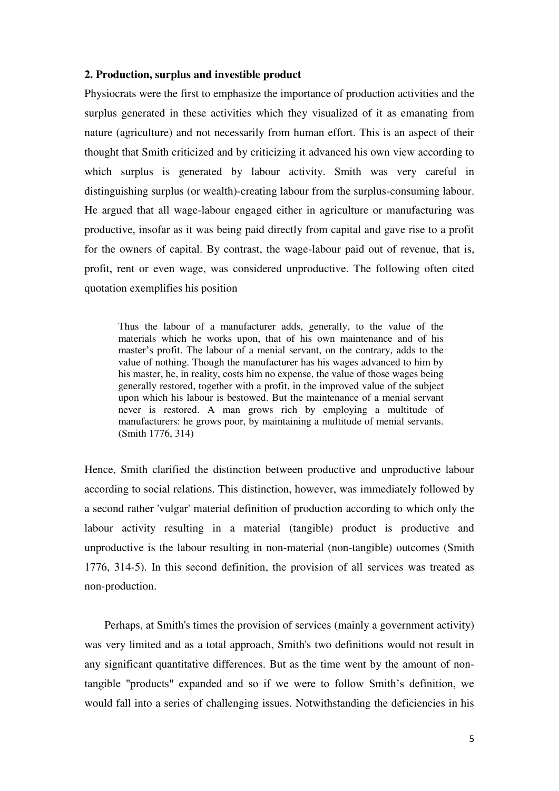## **2. Production, surplus and investible product**

Physiocrats were the first to emphasize the importance of production activities and the surplus generated in these activities which they visualized of it as emanating from nature (agriculture) and not necessarily from human effort. This is an aspect of their thought that Smith criticized and by criticizing it advanced his own view according to which surplus is generated by labour activity. Smith was very careful in distinguishing surplus (or wealth)-creating labour from the surplus-consuming labour. He argued that all wage-labour engaged either in agriculture or manufacturing was productive, insofar as it was being paid directly from capital and gave rise to a profit for the owners of capital. By contrast, the wage-labour paid out of revenue, that is, profit, rent or even wage, was considered unproductive. The following often cited quotation exemplifies his position

Thus the labour of a manufacturer adds, generally, to the value of the materials which he works upon, that of his own maintenance and of his master's profit. The labour of a menial servant, on the contrary, adds to the value of nothing. Though the manufacturer has his wages advanced to him by his master, he, in reality, costs him no expense, the value of those wages being generally restored, together with a profit, in the improved value of the subject upon which his labour is bestowed. But the maintenance of a menial servant never is restored. A man grows rich by employing a multitude of manufacturers: he grows poor, by maintaining a multitude of menial servants. (Smith 1776, 314)

Hence, Smith clarified the distinction between productive and unproductive labour according to social relations. This distinction, however, was immediately followed by a second rather 'vulgar' material definition of production according to which only the labour activity resulting in a material (tangible) product is productive and unproductive is the labour resulting in non-material (non-tangible) outcomes (Smith 1776, 314-5). In this second definition, the provision of all services was treated as non-production.

Perhaps, at Smith's times the provision of services (mainly a government activity) was very limited and as a total approach, Smith's two definitions would not result in any significant quantitative differences. But as the time went by the amount of nontangible "products" expanded and so if we were to follow Smith's definition, we would fall into a series of challenging issues. Notwithstanding the deficiencies in his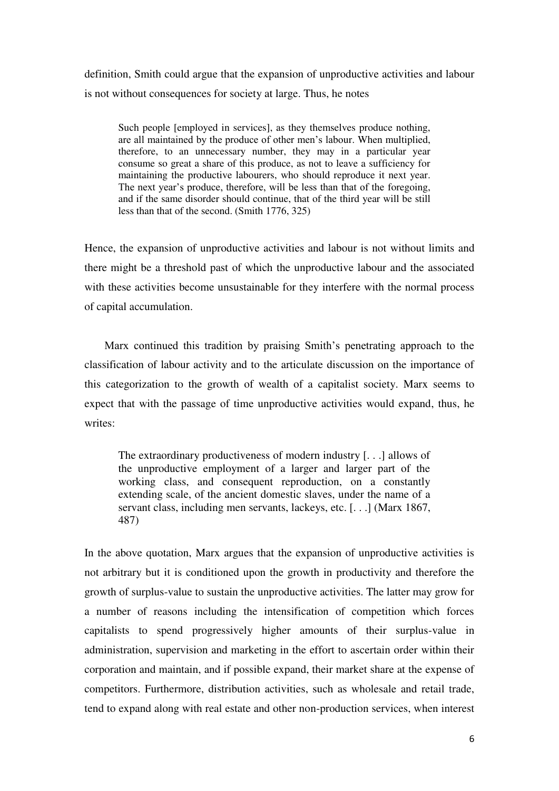definition, Smith could argue that the expansion of unproductive activities and labour is not without consequences for society at large. Thus, he notes

Such people [employed in services], as they themselves produce nothing, are all maintained by the produce of other men's labour. When multiplied, therefore, to an unnecessary number, they may in a particular year consume so great a share of this produce, as not to leave a sufficiency for maintaining the productive labourers, who should reproduce it next year. The next year's produce, therefore, will be less than that of the foregoing, and if the same disorder should continue, that of the third year will be still less than that of the second. (Smith 1776, 325)

Hence, the expansion of unproductive activities and labour is not without limits and there might be a threshold past of which the unproductive labour and the associated with these activities become unsustainable for they interfere with the normal process of capital accumulation.

Marx continued this tradition by praising Smith's penetrating approach to the classification of labour activity and to the articulate discussion on the importance of this categorization to the growth of wealth of a capitalist society. Marx seems to expect that with the passage of time unproductive activities would expand, thus, he writes:

The extraordinary productiveness of modern industry [. . .] allows of the unproductive employment of a larger and larger part of the working class, and consequent reproduction, on a constantly extending scale, of the ancient domestic slaves, under the name of a servant class, including men servants, lackeys, etc. [. . .] (Marx 1867, 487)

In the above quotation, Marx argues that the expansion of unproductive activities is not arbitrary but it is conditioned upon the growth in productivity and therefore the growth of surplus-value to sustain the unproductive activities. The latter may grow for a number of reasons including the intensification of competition which forces capitalists to spend progressively higher amounts of their surplus-value in administration, supervision and marketing in the effort to ascertain order within their corporation and maintain, and if possible expand, their market share at the expense of competitors. Furthermore, distribution activities, such as wholesale and retail trade, tend to expand along with real estate and other non-production services, when interest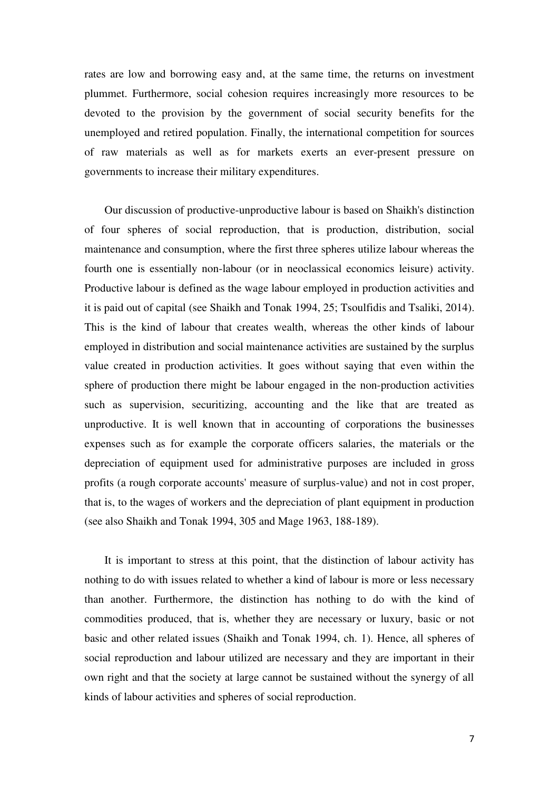rates are low and borrowing easy and, at the same time, the returns on investment plummet. Furthermore, social cohesion requires increasingly more resources to be devoted to the provision by the government of social security benefits for the unemployed and retired population. Finally, the international competition for sources of raw materials as well as for markets exerts an ever-present pressure on governments to increase their military expenditures.

Our discussion of productive-unproductive labour is based on Shaikh's distinction of four spheres of social reproduction, that is production, distribution, social maintenance and consumption, where the first three spheres utilize labour whereas the fourth one is essentially non-labour (or in neoclassical economics leisure) activity. Productive labour is defined as the wage labour employed in production activities and it is paid out of capital (see Shaikh and Tonak 1994, 25; Tsoulfidis and Tsaliki, 2014). This is the kind of labour that creates wealth, whereas the other kinds of labour employed in distribution and social maintenance activities are sustained by the surplus value created in production activities. It goes without saying that even within the sphere of production there might be labour engaged in the non-production activities such as supervision, securitizing, accounting and the like that are treated as unproductive. It is well known that in accounting of corporations the businesses expenses such as for example the corporate officers salaries, the materials or the depreciation of equipment used for administrative purposes are included in gross profits (a rough corporate accounts' measure of surplus-value) and not in cost proper, that is, to the wages of workers and the depreciation of plant equipment in production (see also Shaikh and Tonak 1994, 305 and Mage 1963, 188-189).

It is important to stress at this point, that the distinction of labour activity has nothing to do with issues related to whether a kind of labour is more or less necessary than another. Furthermore, the distinction has nothing to do with the kind of commodities produced, that is, whether they are necessary or luxury, basic or not basic and other related issues (Shaikh and Tonak 1994, ch. 1). Hence, all spheres of social reproduction and labour utilized are necessary and they are important in their own right and that the society at large cannot be sustained without the synergy of all kinds of labour activities and spheres of social reproduction.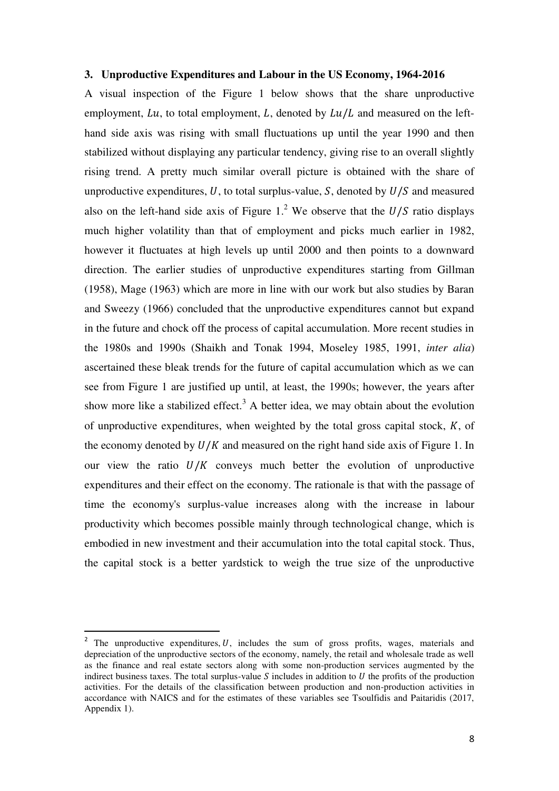### **3. Unproductive Expenditures and Labour in the US Economy, 1964-2016**

A visual inspection of the Figure 1 below shows that the share unproductive employment,  $Lu$ , to total employment,  $L$ , denoted by  $Lu/L$  and measured on the lefthand side axis was rising with small fluctuations up until the year 1990 and then stabilized without displaying any particular tendency, giving rise to an overall slightly rising trend. A pretty much similar overall picture is obtained with the share of unproductive expenditures,  $U$ , to total surplus-value,  $S$ , denoted by  $U/S$  and measured also on the left-hand side axis of Figure 1.<sup>2</sup> We observe that the  $U/S$  ratio displays much higher volatility than that of employment and picks much earlier in 1982, however it fluctuates at high levels up until 2000 and then points to a downward direction. The earlier studies of unproductive expenditures starting from Gillman (1958), Mage (1963) which are more in line with our work but also studies by Baran and Sweezy (1966) concluded that the unproductive expenditures cannot but expand in the future and chock off the process of capital accumulation. More recent studies in the 1980s and 1990s (Shaikh and Tonak 1994, Moseley 1985, 1991, *inter alia*) ascertained these bleak trends for the future of capital accumulation which as we can see from Figure 1 are justified up until, at least, the 1990s; however, the years after show more like a stabilized effect.<sup>3</sup> A better idea, we may obtain about the evolution of unproductive expenditures, when weighted by the total gross capital stock,  $K$ , of the economy denoted by  $U/K$  and measured on the right hand side axis of Figure 1. In our view the ratio  $U/K$  conveys much better the evolution of unproductive expenditures and their effect on the economy. The rationale is that with the passage of time the economy's surplus-value increases along with the increase in labour productivity which becomes possible mainly through technological change, which is embodied in new investment and their accumulation into the total capital stock. Thus, the capital stock is a better yardstick to weigh the true size of the unproductive

 $\overline{a}$ 

<sup>&</sup>lt;sup>2</sup> The unproductive expenditures,  $U$ , includes the sum of gross profits, wages, materials and depreciation of the unproductive sectors of the economy, namely, the retail and wholesale trade as well as the finance and real estate sectors along with some non-production services augmented by the indirect business taxes. The total surplus-value S includes in addition to  $U$  the profits of the production activities. For the details of the classification between production and non-production activities in accordance with NAICS and for the estimates of these variables see Tsoulfidis and Paitaridis (2017, Appendix 1).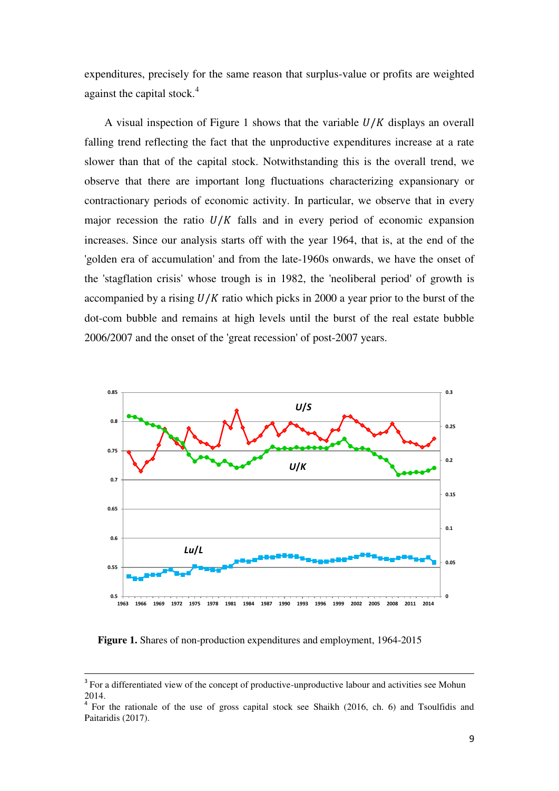expenditures, precisely for the same reason that surplus-value or profits are weighted against the capital stock.<sup>4</sup>

A visual inspection of Figure 1 shows that the variable  $U/K$  displays an overall falling trend reflecting the fact that the unproductive expenditures increase at a rate slower than that of the capital stock. Notwithstanding this is the overall trend, we observe that there are important long fluctuations characterizing expansionary or contractionary periods of economic activity. In particular, we observe that in every major recession the ratio  $U/K$  falls and in every period of economic expansion increases. Since our analysis starts off with the year 1964, that is, at the end of the 'golden era of accumulation' and from the late-1960s onwards, we have the onset of the 'stagflation crisis' whose trough is in 1982, the 'neoliberal period' of growth is accompanied by a rising  $U/K$  ratio which picks in 2000 a year prior to the burst of the dot-com bubble and remains at high levels until the burst of the real estate bubble 2006/2007 and the onset of the 'great recession' of post-2007 years.



**Figure 1.** Shares of non-production expenditures and employment, 1964-2015

 $\overline{a}$ 

<sup>&</sup>lt;sup>3</sup> For a differentiated view of the concept of productive-unproductive labour and activities see Mohun 2014.

<sup>&</sup>lt;sup>4</sup> For the rationale of the use of gross capital stock see Shaikh (2016, ch. 6) and Tsoulfidis and Paitaridis (2017).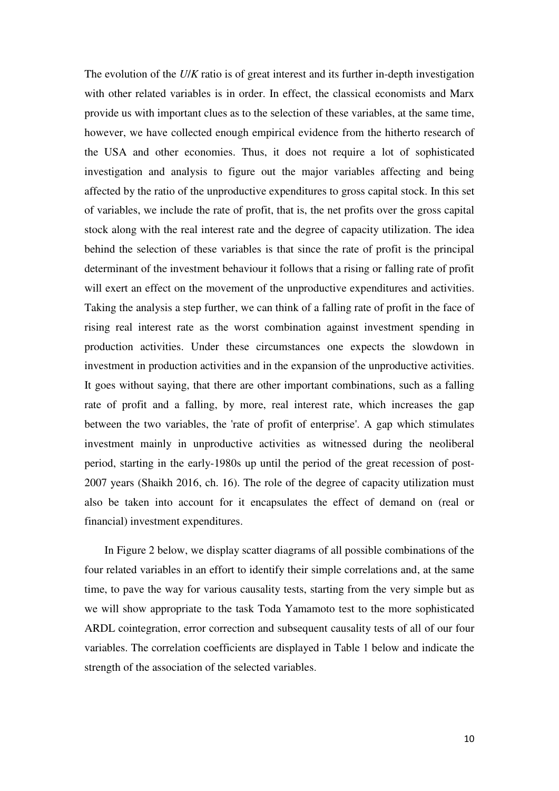The evolution of the *U/K* ratio is of great interest and its further in-depth investigation with other related variables is in order. In effect, the classical economists and Marx provide us with important clues as to the selection of these variables, at the same time, however, we have collected enough empirical evidence from the hitherto research of the USA and other economies. Thus, it does not require a lot of sophisticated investigation and analysis to figure out the major variables affecting and being affected by the ratio of the unproductive expenditures to gross capital stock. In this set of variables, we include the rate of profit, that is, the net profits over the gross capital stock along with the real interest rate and the degree of capacity utilization. The idea behind the selection of these variables is that since the rate of profit is the principal determinant of the investment behaviour it follows that a rising or falling rate of profit will exert an effect on the movement of the unproductive expenditures and activities. Taking the analysis a step further, we can think of a falling rate of profit in the face of rising real interest rate as the worst combination against investment spending in production activities. Under these circumstances one expects the slowdown in investment in production activities and in the expansion of the unproductive activities. It goes without saying, that there are other important combinations, such as a falling rate of profit and a falling, by more, real interest rate, which increases the gap between the two variables, the 'rate of profit of enterprise'. A gap which stimulates investment mainly in unproductive activities as witnessed during the neoliberal period, starting in the early-1980s up until the period of the great recession of post-2007 years (Shaikh 2016, ch. 16). The role of the degree of capacity utilization must also be taken into account for it encapsulates the effect of demand on (real or financial) investment expenditures.

In Figure 2 below, we display scatter diagrams of all possible combinations of the four related variables in an effort to identify their simple correlations and, at the same time, to pave the way for various causality tests, starting from the very simple but as we will show appropriate to the task Toda Yamamoto test to the more sophisticated ARDL cointegration, error correction and subsequent causality tests of all of our four variables. The correlation coefficients are displayed in Table 1 below and indicate the strength of the association of the selected variables.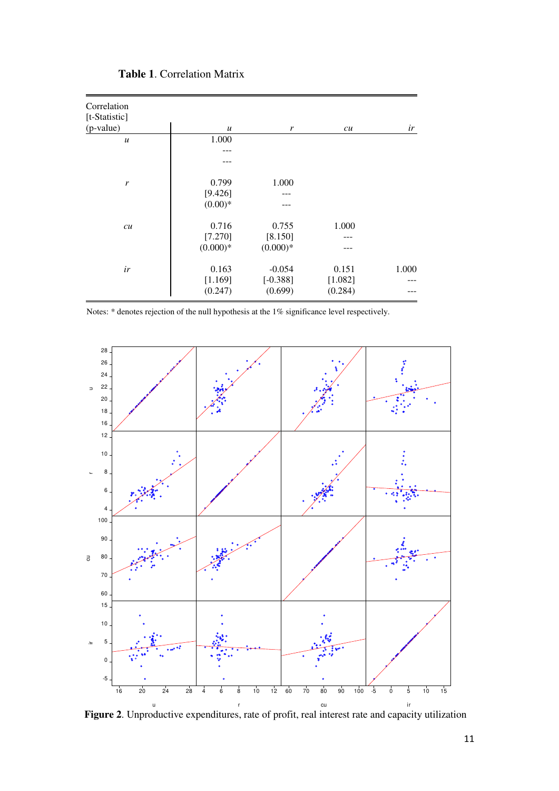| Correlation<br>[t-Statistic] |                  |            |         |       |
|------------------------------|------------------|------------|---------|-------|
| (p-value)                    | $\boldsymbol{u}$ | r          | cu      | ir    |
| $\boldsymbol{u}$             | 1.000            |            |         |       |
|                              |                  |            |         |       |
|                              |                  |            |         |       |
| r                            | 0.799            | 1.000      |         |       |
|                              | [9.426]          |            |         |       |
|                              | $(0.00)*$        |            |         |       |
| cu                           | 0.716            | 0.755      | 1.000   |       |
|                              | [7.270]          | [8.150]    |         |       |
|                              | $(0.000)*$       | $(0.000)*$ |         |       |
| ir                           | 0.163            | $-0.054$   | 0.151   | 1.000 |
|                              | [1.169]          | $[-0.388]$ | [1.082] |       |
|                              | (0.247)          | (0.699)    | (0.284) |       |

## **Table 1**. Correlation Matrix

Notes: \* denotes rejection of the null hypothesis at the 1% significance level respectively.



**Figure 2**. Unproductive expenditures, rate of profit, real interest rate and capacity utilization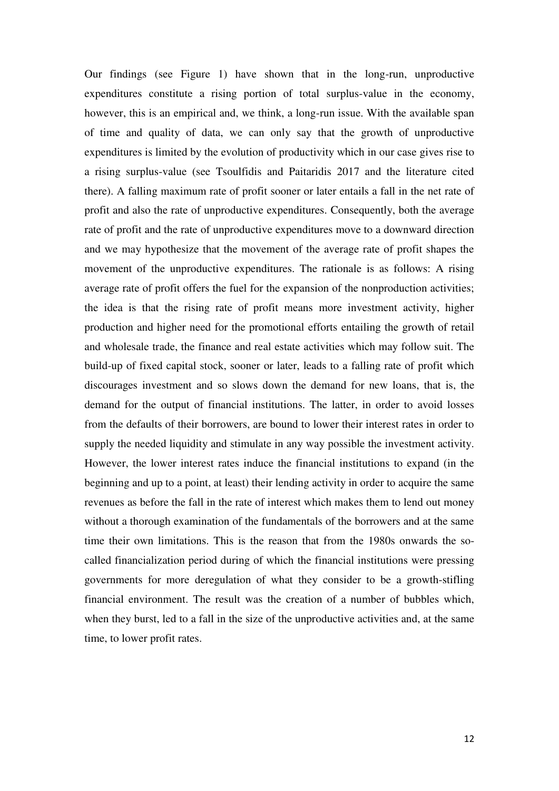Our findings (see Figure 1) have shown that in the long-run, unproductive expenditures constitute a rising portion of total surplus-value in the economy, however, this is an empirical and, we think, a long-run issue. With the available span of time and quality of data, we can only say that the growth of unproductive expenditures is limited by the evolution of productivity which in our case gives rise to a rising surplus-value (see Tsoulfidis and Paitaridis 2017 and the literature cited there). A falling maximum rate of profit sooner or later entails a fall in the net rate of profit and also the rate of unproductive expenditures. Consequently, both the average rate of profit and the rate of unproductive expenditures move to a downward direction and we may hypothesize that the movement of the average rate of profit shapes the movement of the unproductive expenditures. The rationale is as follows: A rising average rate of profit offers the fuel for the expansion of the nonproduction activities; the idea is that the rising rate of profit means more investment activity, higher production and higher need for the promotional efforts entailing the growth of retail and wholesale trade, the finance and real estate activities which may follow suit. The build-up of fixed capital stock, sooner or later, leads to a falling rate of profit which discourages investment and so slows down the demand for new loans, that is, the demand for the output of financial institutions. The latter, in order to avoid losses from the defaults of their borrowers, are bound to lower their interest rates in order to supply the needed liquidity and stimulate in any way possible the investment activity. However, the lower interest rates induce the financial institutions to expand (in the beginning and up to a point, at least) their lending activity in order to acquire the same revenues as before the fall in the rate of interest which makes them to lend out money without a thorough examination of the fundamentals of the borrowers and at the same time their own limitations. This is the reason that from the 1980s onwards the socalled financialization period during of which the financial institutions were pressing governments for more deregulation of what they consider to be a growth-stifling financial environment. The result was the creation of a number of bubbles which, when they burst, led to a fall in the size of the unproductive activities and, at the same time, to lower profit rates.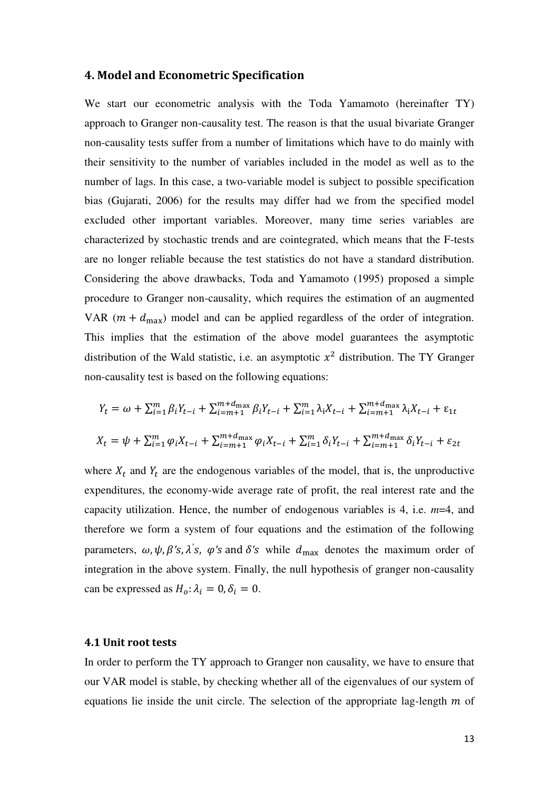## **4. Model and Econometric Specification**

We start our econometric analysis with the Toda Yamamoto (hereinafter TY) approach to Granger non-causality test. The reason is that the usual bivariate Granger non-causality tests suffer from a number of limitations which have to do mainly with their sensitivity to the number of variables included in the model as well as to the number of lags. In this case, a two-variable model is subject to possible specification bias (Gujarati, 2006) for the results may differ had we from the specified model excluded other important variables. Moreover, many time series variables are characterized by stochastic trends and are cointegrated, which means that the F-tests are no longer reliable because the test statistics do not have a standard distribution. Considering the above drawbacks, Toda and Yamamoto (1995) proposed a simple procedure to Granger non-causality, which requires the estimation of an augmented VAR  $(m + d_{\text{max}})$  model and can be applied regardless of the order of integration. This implies that the estimation of the above model guarantees the asymptotic distribution of the Wald statistic, i.e. an asymptotic  $x^2$  distribution. The TY Granger non-causality test is based on the following equations:

$$
Y_{t} = \omega + \sum_{i=1}^{m} \beta_{i} Y_{t-i} + \sum_{i=m+1}^{m+d_{\max}} \beta_{i} Y_{t-i} + \sum_{i=1}^{m} \lambda_{i} X_{t-i} + \sum_{i=m+1}^{m+d_{\max}} \lambda_{i} X_{t-i} + \varepsilon_{1t}
$$

$$
X_{t} = \psi + \sum_{i=1}^{m} \varphi_{i} X_{t-i} + \sum_{i=m+1}^{m+d_{\max}} \varphi_{i} X_{t-i} + \sum_{i=1}^{m} \delta_{i} Y_{t-i} + \sum_{i=m+1}^{m+d_{\max}} \delta_{i} Y_{t-i} + \varepsilon_{2t}
$$

where  $X_t$  and  $Y_t$  are the endogenous variables of the model, that is, the unproductive expenditures, the economy-wide average rate of profit, the real interest rate and the capacity utilization. Hence, the number of endogenous variables is 4, i.e. *m*=4, and therefore we form a system of four equations and the estimation of the following parameters,  $\omega$ ,  $\psi$ ,  $\beta$ 's,  $\lambda$ 's,  $\varphi$ 's and  $\delta$ 's while  $d_{\text{max}}$  denotes the maximum order of integration in the above system. Finally, the null hypothesis of granger non-causality can be expressed as  $H_o: \lambda_i = 0, \delta_i = 0$ .

## **4.1 Unit root tests**

In order to perform the TY approach to Granger non causality, we have to ensure that our VAR model is stable, by checking whether all of the eigenvalues of our system of equations lie inside the unit circle. The selection of the appropriate lag-length  $m$  of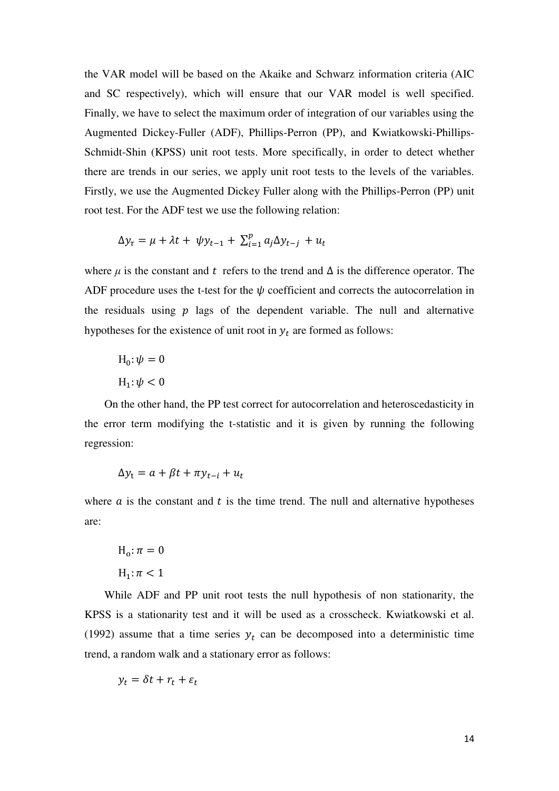the VAR model will be based on the Akaike and Schwarz information criteria (AIC and SC respectively), which will ensure that our VAR model is well specified. Finally, we have to select the maximum order of integration of our variables using the Augmented Dickey-Fuller (ADF), Phillips-Perron (PP), and Kwiatkowski-Phillips-Schmidt-Shin (KPSS) unit root tests. More specifically, in order to detect whether there are trends in our series, we apply unit root tests to the levels of the variables. Firstly, we use the Augmented Dickey Fuller along with the Phillips-Perron (PP) unit root test. For the ADF test we use the following relation:

$$
\Delta y_{\tau} = \mu + \lambda t + \psi y_{t-1} + \sum_{i=1}^{p} a_i \Delta y_{t-i} + u_t
$$

where  $\mu$  is the constant and t refers to the trend and  $\Delta$  is the difference operator. The ADF procedure uses the t-test for the  $\psi$  coefficient and corrects the autocorrelation in the residuals using  $p$  lags of the dependent variable. The null and alternative hypotheses for the existence of unit root in  $y_t$  are formed as follows:

 $H_0: \psi = 0$  $H_1$ :  $\psi$  < 0

On the other hand, the PP test correct for autocorrelation and heteroscedasticity in the error term modifying the t-statistic and it is given by running the following regression:

$$
\Delta y_t = a + \beta t + \pi y_{t-i} + u_t
$$

where  $\alpha$  is the constant and  $t$  is the time trend. The null and alternative hypotheses are:

$$
H_o: \pi = 0
$$

$$
H_1: \pi < 1
$$

While ADF and PP unit root tests the null hypothesis of non stationarity, the KPSS is a stationarity test and it will be used as a crosscheck. Kwiatkowski et al. (1992) assume that a time series  $y_t$  can be decomposed into a deterministic time trend, a random walk and a stationary error as follows:

$$
y_t = \delta t + r_t + \varepsilon_t
$$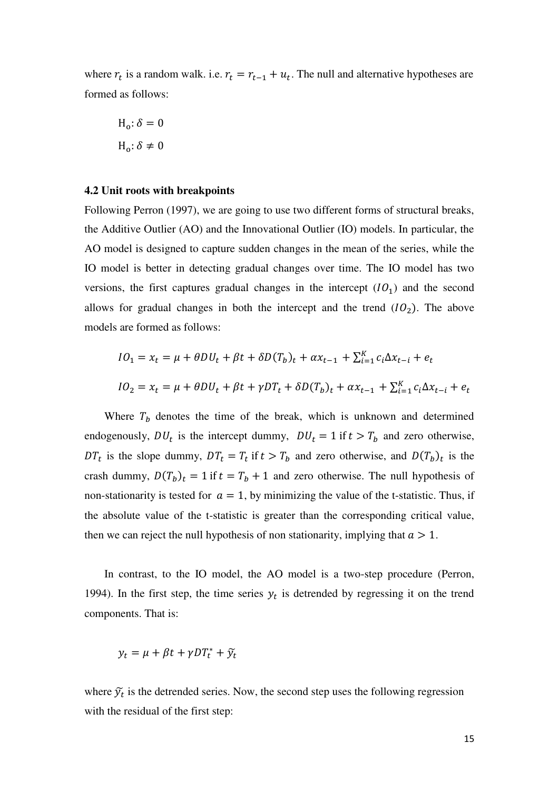where  $r_t$  is a random walk. i.e.  $r_t = r_{t-1} + u_t$ . The null and alternative hypotheses are formed as follows:

$$
H_o: \delta = 0
$$

$$
H_o: \delta \neq 0
$$

## **4.2 Unit roots with breakpoints**

Following Perron (1997), we are going to use two different forms of structural breaks, the Additive Outlier (AO) and the Innovational Outlier (IO) models. In particular, the AO model is designed to capture sudden changes in the mean of the series, while the IO model is better in detecting gradual changes over time. The IO model has two versions, the first captures gradual changes in the intercept  $(IO<sub>1</sub>)$  and the second allows for gradual changes in both the intercept and the trend  $(10<sub>2</sub>)$ . The above models are formed as follows:

$$
IO_1 = x_t = \mu + \theta DU_t + \beta t + \delta D(T_b)_t + \alpha x_{t-1} + \sum_{i=1}^{K} c_i \Delta x_{t-i} + e_t
$$
  

$$
IO_2 = x_t = \mu + \theta DU_t + \beta t + \gamma DT_t + \delta D(T_b)_t + \alpha x_{t-1} + \sum_{i=1}^{K} c_i \Delta x_{t-i} + e_t
$$

Where  $T_b$  denotes the time of the break, which is unknown and determined endogenously,  $DU_t$  is the intercept dummy,  $DU_t = 1$  if  $t > T_b$  and zero otherwise,  $DT_t$  is the slope dummy,  $DT_t = T_t$  if  $t > T_b$  and zero otherwise, and  $D(T_b)_t$  is the crash dummy,  $D(T_b)_t = 1$  if  $t = T_b + 1$  and zero otherwise. The null hypothesis of non-stationarity is tested for  $a = 1$ , by minimizing the value of the t-statistic. Thus, if the absolute value of the t-statistic is greater than the corresponding critical value, then we can reject the null hypothesis of non stationarity, implying that  $a > 1$ .

In contrast, to the IO model, the AO model is a two-step procedure (Perron, 1994). In the first step, the time series  $y_t$  is detrended by regressing it on the trend components. That is:

$$
y_t = \mu + \beta t + \gamma DT_t^* + \widetilde{y}_t
$$

where  $\widetilde{y}_t$  is the detrended series. Now, the second step uses the following regression with the residual of the first step: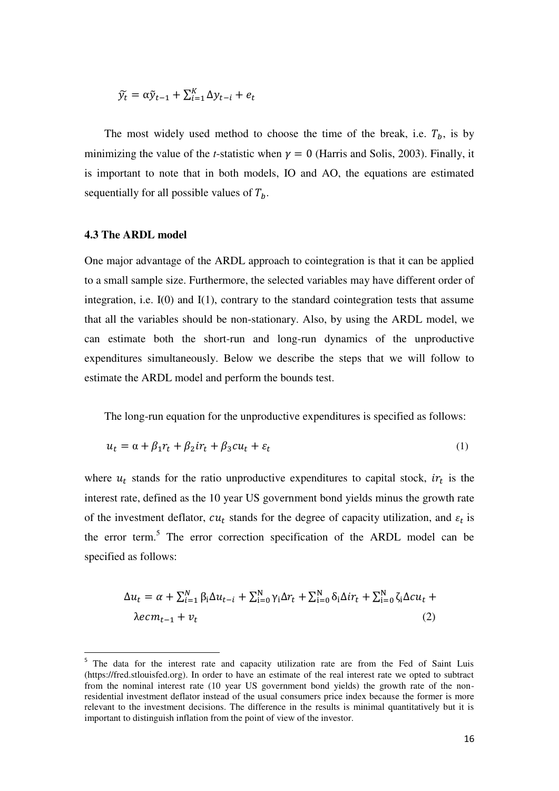$$
\widetilde{y}_t = \alpha \widetilde{y}_{t-1} + \sum_{i=1}^K \Delta y_{t-i} + e_t
$$

The most widely used method to choose the time of the break, i.e.  $T_h$ , is by minimizing the value of the *t*-statistic when  $\gamma = 0$  (Harris and Solis, 2003). Finally, it is important to note that in both models, IO and AO, the equations are estimated sequentially for all possible values of  $T_h$ .

## **4.3 The ARDL model**

 $\overline{a}$ 

One major advantage of the ARDL approach to cointegration is that it can be applied to a small sample size. Furthermore, the selected variables may have different order of integration, i.e. I(0) and I(1), contrary to the standard cointegration tests that assume that all the variables should be non-stationary. Also, by using the ARDL model, we can estimate both the short-run and long-run dynamics of the unproductive expenditures simultaneously. Below we describe the steps that we will follow to estimate the ARDL model and perform the bounds test.

The long-run equation for the unproductive expenditures is specified as follows:

$$
u_t = \alpha + \beta_1 r_t + \beta_2 i r_t + \beta_3 c u_t + \varepsilon_t \tag{1}
$$

where  $u_t$  stands for the ratio unproductive expenditures to capital stock,  $ir_t$  is the interest rate, defined as the 10 year US government bond yields minus the growth rate of the investment deflator,  $cu_t$  stands for the degree of capacity utilization, and  $\varepsilon_t$  is the error term.<sup>5</sup> The error correction specification of the ARDL model can be specified as follows:

$$
\Delta u_t = \alpha + \sum_{i=1}^N \beta_i \Delta u_{t-i} + \sum_{i=0}^N \gamma_i \Delta r_t + \sum_{i=0}^N \delta_i \Delta i r_t + \sum_{i=0}^N \zeta_i \Delta c u_t + \lambda e c m_{t-1} + v_t
$$
\n(2)

<sup>&</sup>lt;sup>5</sup> The data for the interest rate and capacity utilization rate are from the Fed of Saint Luis [\(https://fred.stlouisfed.org\)](https://fred.stlouisfed.org/series/IRLTLT01USM156N). In order to have an estimate of the real interest rate we opted to subtract from the nominal interest rate (10 year US government bond yields) the growth rate of the nonresidential investment deflator instead of the usual consumers price index because the former is more relevant to the investment decisions. The difference in the results is minimal quantitatively but it is important to distinguish inflation from the point of view of the investor.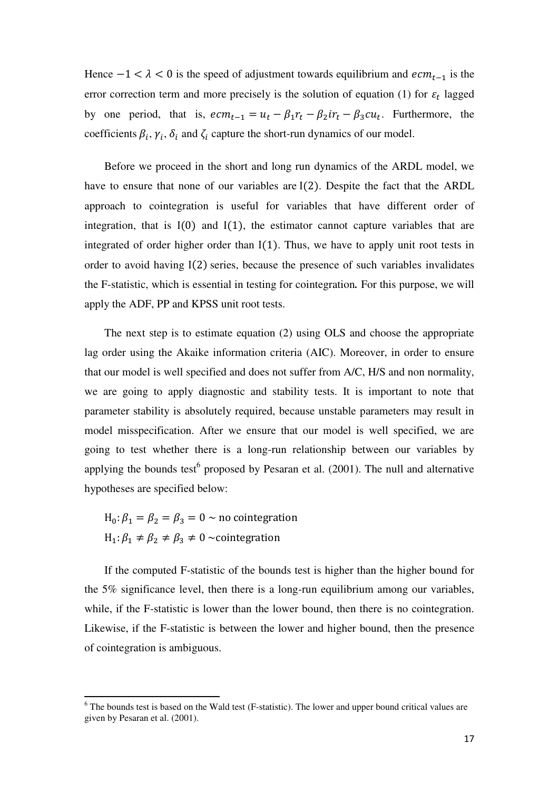Hence  $-1 < \lambda < 0$  is the speed of adjustment towards equilibrium and  $ecm_{t-1}$  is the error correction term and more precisely is the solution of equation (1) for  $\varepsilon_t$  lagged by one period, that is,  $e c m_{t-1} = u_t - \beta_1 r_t - \beta_2 i r_t - \beta_3 c u_t$ . Furthermore, the coefficients  $\beta_i$ ,  $\gamma_i$ ,  $\delta_i$  and  $\zeta_i$  capture the short-run dynamics of our model.

Before we proceed in the short and long run dynamics of the ARDL model, we have to ensure that none of our variables are  $I(2)$ . Despite the fact that the ARDL approach to cointegration is useful for variables that have different order of integration, that is  $I(0)$  and  $I(1)$ , the estimator cannot capture variables that are integrated of order higher order than  $I(1)$ . Thus, we have to apply unit root tests in order to avoid having  $I(2)$  series, because the presence of such variables invalidates the F-statistic, which is essential in testing for cointegration*.* For this purpose, we will apply the ADF, PP and KPSS unit root tests.

The next step is to estimate equation (2) using OLS and choose the appropriate lag order using the Akaike information criteria (AIC). Moreover, in order to ensure that our model is well specified and does not suffer from A/C, H/S and non normality, we are going to apply diagnostic and stability tests. It is important to note that parameter stability is absolutely required, because unstable parameters may result in model misspecification. After we ensure that our model is well specified, we are going to test whether there is a long-run relationship between our variables by applying the bounds test<sup>6</sup> proposed by Pesaran et al.  $(2001)$ . The null and alternative hypotheses are specified below:

 $H_0: \beta_1 = \beta_2 = \beta_3 = 0$  ~ no cointegration  $H_1: \beta_1 \neq \beta_2 \neq \beta_3 \neq 0$  ~cointegration

 $\overline{a}$ 

If the computed F-statistic of the bounds test is higher than the higher bound for the 5% significance level, then there is a long-run equilibrium among our variables, while, if the F-statistic is lower than the lower bound, then there is no cointegration. Likewise, if the F-statistic is between the lower and higher bound, then the presence of cointegration is ambiguous.

 $6$  The bounds test is based on the Wald test (F-statistic). The lower and upper bound critical values are given by Pesaran et al. (2001).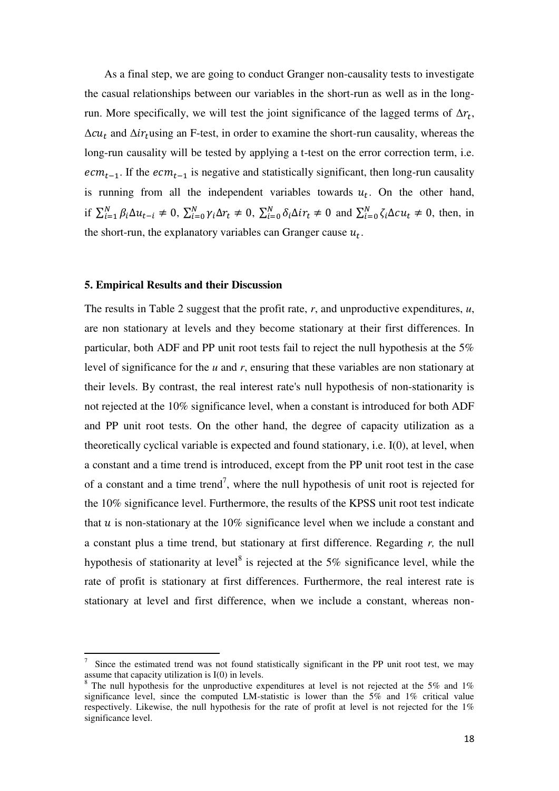As a final step, we are going to conduct Granger non-causality tests to investigate the casual relationships between our variables in the short-run as well as in the longrun. More specifically, we will test the joint significance of the lagged terms of  $\Delta r_t$ ,  $\Delta c u_t$  and  $\Delta i r_t$  using an F-test, in order to examine the short-run causality, whereas the long-run causality will be tested by applying a t-test on the error correction term, i.e.  $ecm_{t-1}$ . If the  $ecm_{t-1}$  is negative and statistically significant, then long-run causality is running from all the independent variables towards  $u_t$ . On the other hand, if  $\sum_{i=1}^{N} \beta_i \Delta u_{t-i} \neq 0$ ,  $\sum_{i=0}^{N} \gamma_i \Delta r_t \neq 0$ ,  $\sum_{i=0}^{N} \delta_i \Delta i r_t \neq 0$  and  $\sum_{i=0}^{N} \zeta_i \Delta c u_t \neq 0$ , then, in the short-run, the explanatory variables can Granger cause  $u_t$ .

#### **5. Empirical Results and their Discussion**

 $\overline{a}$ 

The results in Table 2 suggest that the profit rate, *r*, and unproductive expenditures, *u*, are non stationary at levels and they become stationary at their first differences. In particular, both ADF and PP unit root tests fail to reject the null hypothesis at the 5% level of significance for the *u* and *r*, ensuring that these variables are non stationary at their levels. By contrast, the real interest rate's null hypothesis of non-stationarity is not rejected at the 10% significance level, when a constant is introduced for both ADF and PP unit root tests. On the other hand, the degree of capacity utilization as a theoretically cyclical variable is expected and found stationary, i.e. I(0), at level, when a constant and a time trend is introduced, except from the PP unit root test in the case of a constant and a time trend<sup>7</sup>, where the null hypothesis of unit root is rejected for the 10% significance level. Furthermore, the results of the KPSS unit root test indicate that  $u$  is non-stationary at the 10% significance level when we include a constant and a constant plus a time trend, but stationary at first difference. Regarding *r,* the null hypothesis of stationarity at level<sup>8</sup> is rejected at the 5% significance level, while the rate of profit is stationary at first differences. Furthermore, the real interest rate is stationary at level and first difference, when we include a constant, whereas non-

<sup>7</sup> Since the estimated trend was not found statistically significant in the PP unit root test, we may assume that capacity utilization is I(0) in levels.

<sup>&</sup>lt;sup>8</sup> The null hypothesis for the unproductive expenditures at level is not rejected at the 5% and 1% significance level, since the computed LM-statistic is lower than the  $5\%$  and  $1\%$  critical value respectively. Likewise, the null hypothesis for the rate of profit at level is not rejected for the 1% significance level.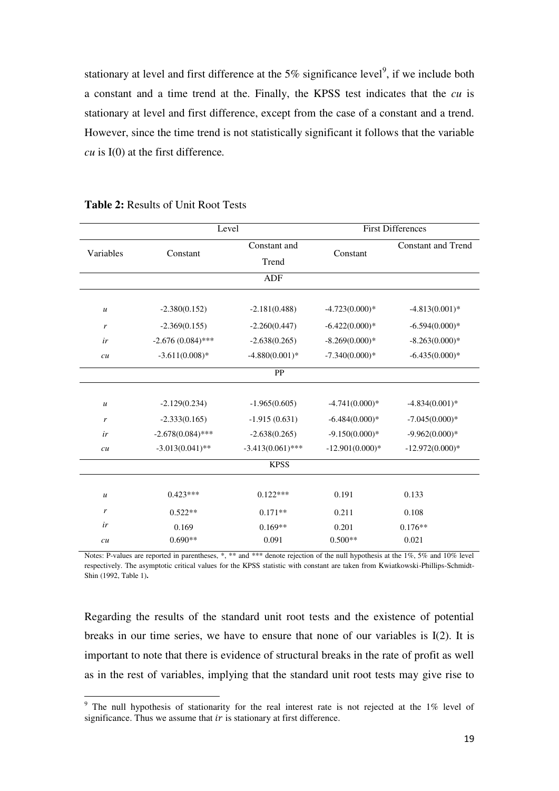stationary at level and first difference at the  $5\%$  significance level<sup>9</sup>, if we include both a constant and a time trend at the. Finally, the KPSS test indicates that the *cu* is stationary at level and first difference, except from the case of a constant and a trend. However, since the time trend is not statistically significant it follows that the variable *cu* is I(0) at the first difference*.* 

|                  | Level               |                       |                   | <b>First Differences</b>  |
|------------------|---------------------|-----------------------|-------------------|---------------------------|
| Variables        | Constant            | Constant and<br>Trend | Constant          | <b>Constant and Trend</b> |
|                  |                     | <b>ADF</b>            |                   |                           |
| $\boldsymbol{u}$ | $-2.380(0.152)$     | $-2.181(0.488)$       | $-4.723(0.000)*$  | $-4.813(0.001)*$          |
| $\boldsymbol{r}$ | $-2.369(0.155)$     | $-2.260(0.447)$       | $-6.422(0.000)*$  | $-6.594(0.000)*$          |
| ir               | $-2.676(0.084)$ *** | $-2.638(0.265)$       | $-8.269(0.000)*$  | $-8.263(0.000)*$          |
| cu               | $-3.611(0.008)*$    | $-4.880(0.001)*$      | $-7.340(0.000)*$  | $-6.435(0.000)*$          |
|                  |                     | PP                    |                   |                           |
|                  |                     |                       |                   |                           |
| $\boldsymbol{u}$ | $-2.129(0.234)$     | $-1.965(0.605)$       | $-4.741(0.000)*$  | $-4.834(0.001)*$          |
| r                | $-2.333(0.165)$     | $-1.915(0.631)$       | $-6.484(0.000)*$  | $-7.045(0.000)*$          |
| ir               | $-2.678(0.084)$ *** | $-2.638(0.265)$       | $-9.150(0.000)*$  | $-9.962(0.000)*$          |
| cu               | $-3.013(0.041)$ **  | $-3.413(0.061)$ ***   | $-12.901(0.000)*$ | $-12.972(0.000)*$         |
|                  |                     | <b>KPSS</b>           |                   |                           |
|                  |                     |                       |                   |                           |
| $\boldsymbol{u}$ | $0.423***$          | $0.122***$            | 0.191             | 0.133                     |
| r                | $0.522**$           | $0.171**$             | 0.211             | 0.108                     |
| ir               | 0.169               | $0.169**$             | 0.201             | $0.176**$                 |
| cu               | $0.690**$           | 0.091                 | $0.500**$         | 0.021                     |

## **Table 2:** Results of Unit Root Tests

 $\overline{a}$ 

Notes: P-values are reported in parentheses, \*, \*\* and \*\*\* denote rejection of the null hypothesis at the 1%, 5% and 10% level respectively. The asymptotic critical values for the KPSS statistic with constant are taken from Kwiatkowski-Phillips-Schmidt-Shin (1992, Table 1)**.**

Regarding the results of the standard unit root tests and the existence of potential breaks in our time series, we have to ensure that none of our variables is I(2). It is important to note that there is evidence of structural breaks in the rate of profit as well as in the rest of variables, implying that the standard unit root tests may give rise to

<sup>&</sup>lt;sup>9</sup> The null hypothesis of stationarity for the real interest rate is not rejected at the 1% level of significance. Thus we assume that  $ir$  is stationary at first difference.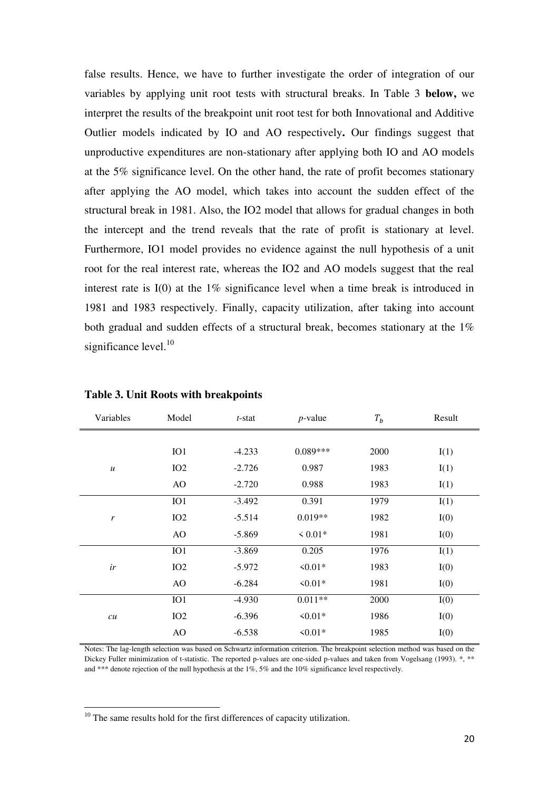false results. Hence, we have to further investigate the order of integration of our variables by applying unit root tests with structural breaks. In Table 3 **below,** we interpret the results of the breakpoint unit root test for both Innovational and Additive Outlier models indicated by IO and AO respectively**.** Our findings suggest that unproductive expenditures are non-stationary after applying both IO and AO models at the 5% significance level. On the other hand, the rate of profit becomes stationary after applying the AO model, which takes into account the sudden effect of the structural break in 1981. Also, the IO2 model that allows for gradual changes in both the intercept and the trend reveals that the rate of profit is stationary at level. Furthermore, IO1 model provides no evidence against the null hypothesis of a unit root for the real interest rate, whereas the IO2 and AO models suggest that the real interest rate is  $I(0)$  at the  $1\%$  significance level when a time break is introduced in 1981 and 1983 respectively. Finally, capacity utilization, after taking into account both gradual and sudden effects of a structural break, becomes stationary at the 1% significance level. $10$ 

| Variables                  | Model           | $t$ -stat | $p$ -value        | $T_h$ | Result |
|----------------------------|-----------------|-----------|-------------------|-------|--------|
|                            |                 |           |                   |       |        |
|                            | IO <sub>1</sub> | $-4.233$  | $0.089***$        | 2000  | I(1)   |
| $\boldsymbol{\mathcal{U}}$ | IO <sub>2</sub> | $-2.726$  | 0.987             | 1983  | I(1)   |
|                            | AO              | $-2.720$  | 0.988             | 1983  | I(1)   |
|                            | IO <sub>1</sub> | $-3.492$  | 0.391             | 1979  | I(1)   |
| $\boldsymbol{r}$           | IO <sub>2</sub> | $-5.514$  | $0.019**$         | 1982  | I(0)   |
|                            | AO              | $-5.869$  | ${}_{\leq 0.01*}$ | 1981  | I(0)   |
|                            | IO <sub>1</sub> | $-3.869$  | 0.205             | 1976  | I(1)   |
| $\dot\imath r$             | IO <sub>2</sub> | $-5.972$  | $50.01*$          | 1983  | I(0)   |
|                            | AO              | $-6.284$  | $50.01*$          | 1981  | I(0)   |
|                            | IO <sub>1</sub> | $-4.930$  | $0.011**$         | 2000  | I(0)   |
| cu                         | IO <sub>2</sub> | $-6.396$  | $50.01*$          | 1986  | I(0)   |
|                            | AO              | $-6.538$  | $50.01*$          | 1985  | I(0)   |

**Table 3. Unit Roots with breakpoints** 

Notes: The lag-length selection was based on Schwartz information criterion. The breakpoint selection method was based on the Dickey Fuller minimization of t-statistic. The reported p-values are one-sided p-values and taken from Vogelsang (1993). \*, \*\* and \*\*\* denote rejection of the null hypothesis at the 1%, 5% and the 10% significance level respectively.

 $\overline{a}$ 

 $10$  The same results hold for the first differences of capacity utilization.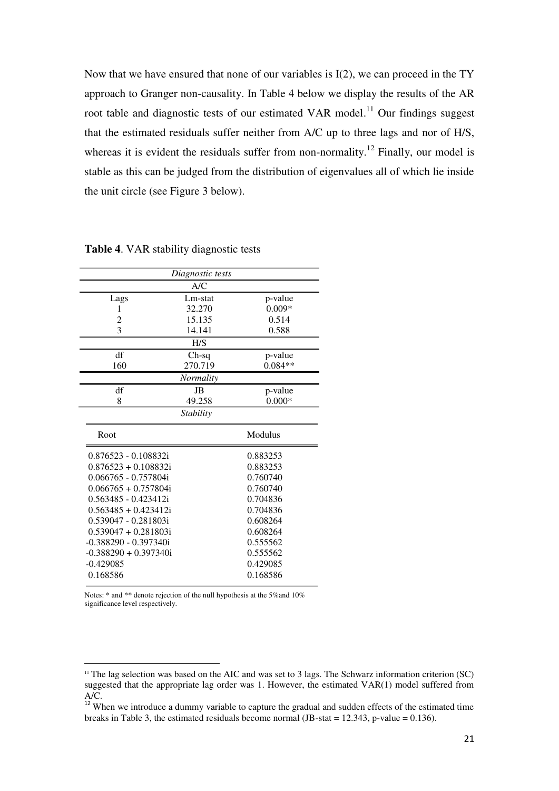Now that we have ensured that none of our variables is I(2), we can proceed in the TY approach to Granger non-causality. In Table 4 below we display the results of the AR root table and diagnostic tests of our estimated VAR model.<sup>11</sup> Our findings suggest that the estimated residuals suffer neither from A/C up to three lags and nor of H/S, whereas it is evident the residuals suffer from non-normality.<sup>12</sup> Finally, our model is stable as this can be judged from the distribution of eigenvalues all of which lie inside the unit circle (see Figure 3 below).

|                         | Diagnostic tests |           |
|-------------------------|------------------|-----------|
|                         | A/C              |           |
| Lags                    | Lm-stat          | p-value   |
| 1                       | 32.270           | $0.009*$  |
| $\overline{c}$          | 15.135           | 0.514     |
| 3                       | 14.141           | 0.588     |
|                         | H/S              |           |
| df                      | $Ch-sq$          | p-value   |
| 160                     | 270.719          | $0.084**$ |
|                         | Normality        |           |
| df                      | JB               | p-value   |
| 8                       | 49.258           | $0.000*$  |
|                         | Stability        |           |
|                         |                  |           |
| Root                    |                  | Modulus   |
| 0.876523 - 0.108832i    |                  | 0.883253  |
| $0.876523 + 0.108832i$  |                  | 0.883253  |
| $0.066765 - 0.757804i$  |                  | 0.760740  |
| $0.066765 + 0.757804i$  |                  | 0.760740  |
| $0.563485 - 0.423412i$  |                  | 0.704836  |
| $0.563485 + 0.423412i$  |                  | 0.704836  |
| 0.539047 - 0.281803i    |                  | 0.608264  |
| $0.539047 + 0.281803i$  |                  | 0.608264  |
| $-0.388290 - 0.397340i$ |                  | 0.555562  |
| $-0.388290 + 0.397340i$ |                  | 0.555562  |
| $-0.429085$             |                  | 0.429085  |
| 0.168586                |                  | 0.168586  |
|                         |                  |           |

**Table 4**. VAR stability diagnostic tests

Notes: \* and \*\* denote rejection of the null hypothesis at the 5%and 10% significance level respectively.

 $\overline{a}$ 

 $11$  The lag selection was based on the AIC and was set to 3 lags. The Schwarz information criterion (SC) suggested that the appropriate lag order was 1. However, the estimated VAR(1) model suffered from A/C.

<sup>&</sup>lt;sup>12</sup> When we introduce a dummy variable to capture the gradual and sudden effects of the estimated time breaks in Table 3, the estimated residuals become normal (JB-stat =  $12.343$ , p-value = 0.136).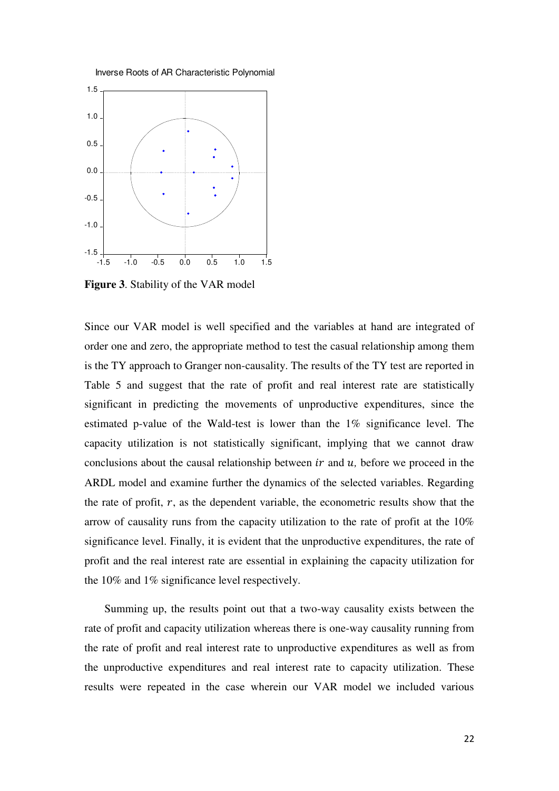

**Figure 3**. Stability of the VAR model

Since our VAR model is well specified and the variables at hand are integrated of order one and zero, the appropriate method to test the casual relationship among them is the TY approach to Granger non-causality. The results of the TY test are reported in Table 5 and suggest that the rate of profit and real interest rate are statistically significant in predicting the movements of unproductive expenditures, since the estimated p-value of the Wald-test is lower than the 1% significance level. The capacity utilization is not statistically significant, implying that we cannot draw conclusions about the causal relationship between  $ir$  and  $u$ , before we proceed in the ARDL model and examine further the dynamics of the selected variables. Regarding the rate of profit,  $r$ , as the dependent variable, the econometric results show that the arrow of causality runs from the capacity utilization to the rate of profit at the 10% significance level. Finally, it is evident that the unproductive expenditures, the rate of profit and the real interest rate are essential in explaining the capacity utilization for the 10% and 1% significance level respectively.

Summing up, the results point out that a two-way causality exists between the rate of profit and capacity utilization whereas there is one-way causality running from the rate of profit and real interest rate to unproductive expenditures as well as from the unproductive expenditures and real interest rate to capacity utilization. These results were repeated in the case wherein our VAR model we included various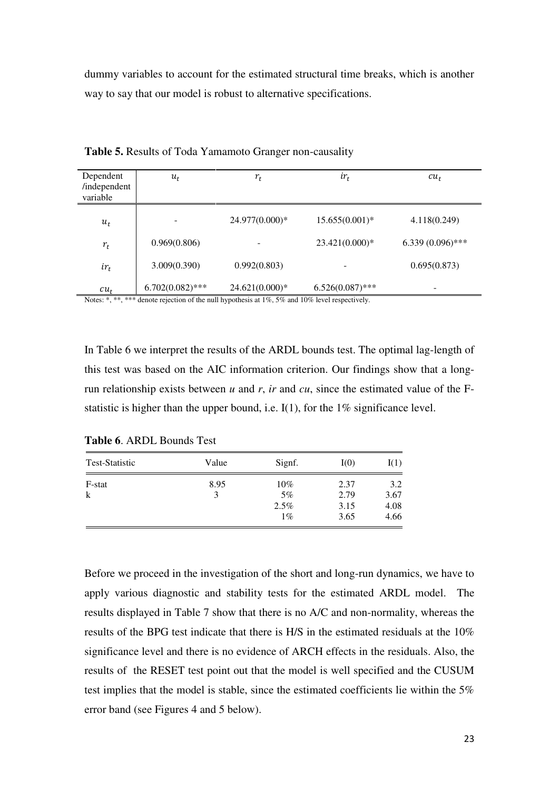dummy variables to account for the estimated structural time breaks, which is another way to say that our model is robust to alternative specifications.

| Dependent<br>/independent<br>variable | $u_t$              | $r_t$            | $ir_t$             | $cu_t$             |
|---------------------------------------|--------------------|------------------|--------------------|--------------------|
| $u_t$                                 |                    | 24.977(0.000)*   | $15.655(0.001)*$   | 4.118(0.249)       |
| $r_t$                                 | 0.969(0.806)       |                  | $23.421(0.000)*$   | $6.339(0.096)$ *** |
| $ir_t$                                | 3.009(0.390)       | 0.992(0.803)     |                    | 0.695(0.873)       |
| $cu_{t}$<br><b>AT : 444</b>           | $6.702(0.082)$ *** | $24.621(0.000)*$ | $6.526(0.087)$ *** |                    |

**Table 5.** Results of Toda Yamamoto Granger non-causality

Notes: \*, \*\*, \*\*\* denote rejection of the null hypothesis at 1%, 5% and 10% level respectively.

In Table 6 we interpret the results of the ARDL bounds test. The optimal lag-length of this test was based on the AIC information criterion. Our findings show that a longrun relationship exists between *u* and *r*, *ir* and *cu*, since the estimated value of the Fstatistic is higher than the upper bound, i.e.  $I(1)$ , for the  $1\%$  significance level.

| Test-Statistic | Value     | Signf.                        | I(0)                         | I(1)                        |
|----------------|-----------|-------------------------------|------------------------------|-----------------------------|
| F-stat<br>k    | 8.95<br>3 | $10\%$<br>5%<br>2.5%<br>$1\%$ | 2.37<br>2.79<br>3.15<br>3.65 | 3.2<br>3.67<br>4.08<br>4.66 |

**Table 6**. ARDL Bounds Test

Before we proceed in the investigation of the short and long-run dynamics, we have to apply various diagnostic and stability tests for the estimated ARDL model. The results displayed in Table 7 show that there is no A/C and non-normality, whereas the results of the BPG test indicate that there is H/S in the estimated residuals at the 10% significance level and there is no evidence of ARCH effects in the residuals. Also, the results of the RESET test point out that the model is well specified and the CUSUM test implies that the model is stable, since the estimated coefficients lie within the 5% error band (see Figures 4 and 5 below).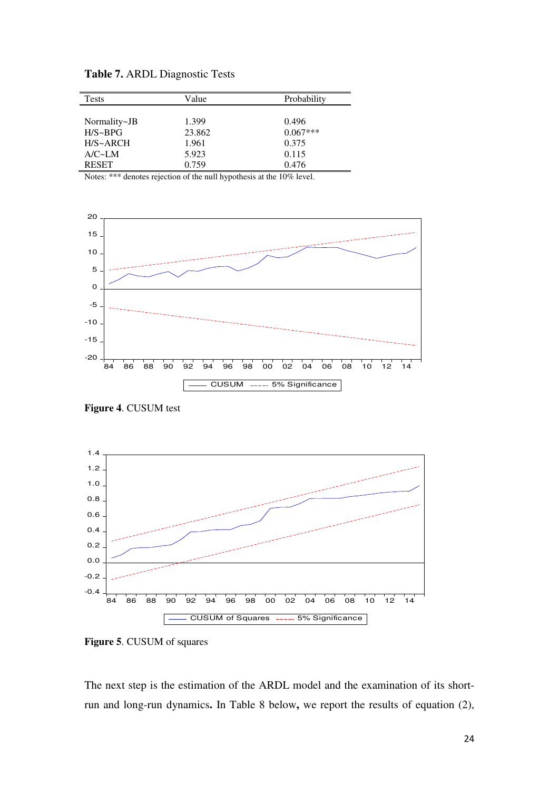| Tests           | Value  | Probability |
|-----------------|--------|-------------|
|                 |        |             |
| Normality~JB    | 1.399  | 0.496       |
| $H/S \sim BPG$  | 23.862 | $0.067***$  |
| $H/S \sim ARCH$ | 1.961  | 0.375       |
| $A/C \sim LM$   | 5.923  | 0.115       |
| <b>RESET</b>    | 0.759  | 0.476       |

**Table 7.** ARDL Diagnostic Tests

Notes: \*\*\* denotes rejection of the null hypothesis at the 10% level.



**Figure 4**. CUSUM test



**Figure 5**. CUSUM of squares

The next step is the estimation of the ARDL model and the examination of its shortrun and long-run dynamics**.** In Table 8 below**,** we report the results of equation (2),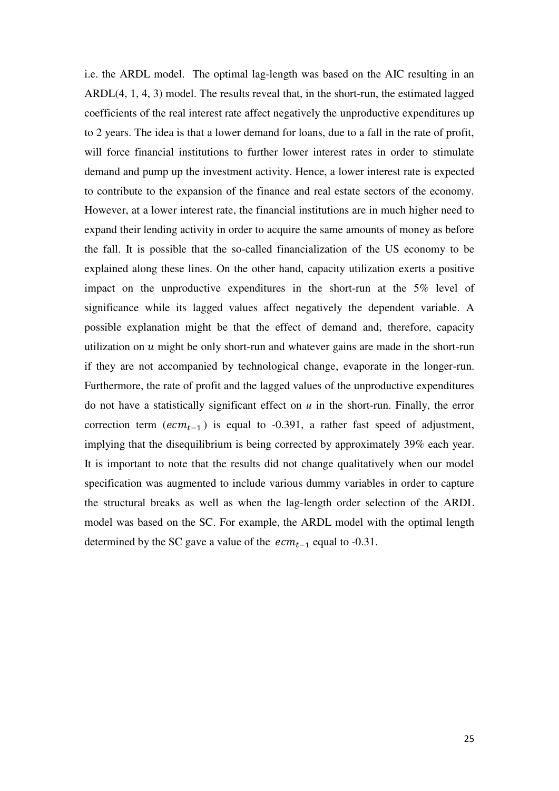i.e. the ARDL model. The optimal lag-length was based on the AIC resulting in an ARDL(4, 1, 4, 3) model. The results reveal that, in the short-run, the estimated lagged coefficients of the real interest rate affect negatively the unproductive expenditures up to 2 years. The idea is that a lower demand for loans, due to a fall in the rate of profit, will force financial institutions to further lower interest rates in order to stimulate demand and pump up the investment activity. Hence, a lower interest rate is expected to contribute to the expansion of the finance and real estate sectors of the economy. However, at a lower interest rate, the financial institutions are in much higher need to expand their lending activity in order to acquire the same amounts of money as before the fall. It is possible that the so-called financialization of the US economy to be explained along these lines. On the other hand, capacity utilization exerts a positive impact on the unproductive expenditures in the short-run at the 5% level of significance while its lagged values affect negatively the dependent variable. A possible explanation might be that the effect of demand and, therefore, capacity utilization on  $u$  might be only short-run and whatever gains are made in the short-run if they are not accompanied by technological change, evaporate in the longer-run. Furthermore, the rate of profit and the lagged values of the unproductive expenditures do not have a statistically significant effect on *u* in the short-run. Finally, the error correction term  $(ecm_{t-1})$  is equal to -0.391, a rather fast speed of adjustment, implying that the disequilibrium is being corrected by approximately 39% each year. It is important to note that the results did not change qualitatively when our model specification was augmented to include various dummy variables in order to capture the structural breaks as well as when the lag-length order selection of the ARDL model was based on the SC. For example, the ARDL model with the optimal length determined by the SC gave a value of the  $ecm_{t-1}$  equal to -0.31.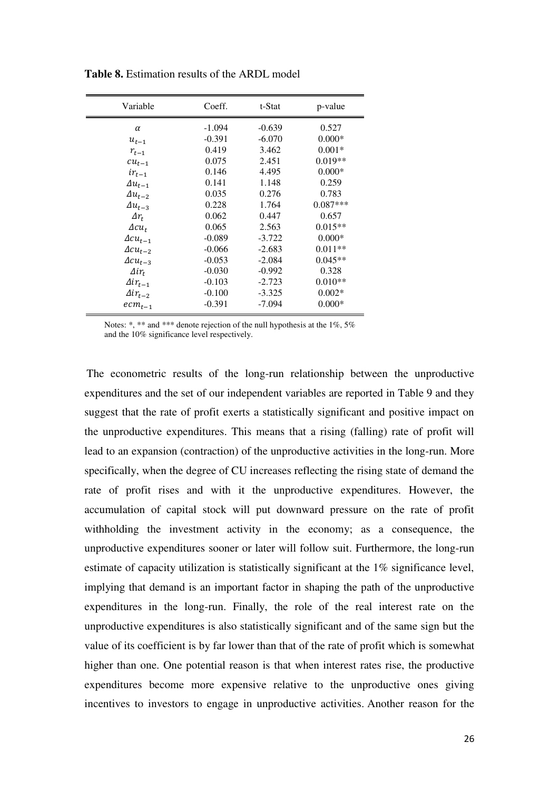| Variable           | Coeff.   | t-Stat   | p-value    |
|--------------------|----------|----------|------------|
| $\alpha$           | $-1.094$ | $-0.639$ | 0.527      |
| $u_{t-1}$          | $-0.391$ | $-6.070$ | $0.000*$   |
| $r_{t-1}$          | 0.419    | 3.462    | $0.001*$   |
| $cu_{t-1}$         | 0.075    | 2.451    | $0.019**$  |
| $ir_{t-1}$         | 0.146    | 4.495    | $0.000*$   |
| $\Delta u_{t-1}$   | 0.141    | 1.148    | 0.259      |
| $\Delta u_{t-2}$   | 0.035    | 0.276    | 0.783      |
| $\Delta u_{t-3}$   | 0.228    | 1.764    | $0.087***$ |
| $\Delta r_t$       | 0.062    | 0.447    | 0.657      |
| $\Delta cu_t$      | 0.065    | 2.563    | $0.015**$  |
| $\Delta c u_{t-1}$ | $-0.089$ | $-3.722$ | $0.000*$   |
| $\Delta cu_{t-2}$  | $-0.066$ | $-2.683$ | $0.011**$  |
| $\Delta cu_{t-3}$  | $-0.053$ | $-2.084$ | $0.045**$  |
| $Air_t$            | $-0.030$ | $-0.992$ | 0.328      |
| $\Delta i r_{t-1}$ | $-0.103$ | $-2.723$ | $0.010**$  |
| $\Delta ir_{t-2}$  | $-0.100$ | $-3.325$ | $0.002*$   |
| $ecm_{t-1}$        | $-0.391$ | $-7.094$ | $0.000*$   |

**Table 8.** Estimation results of the ARDL model

Notes: \*, \*\* and \*\*\* denote rejection of the null hypothesis at the 1%, 5% and the 10% significance level respectively.

The econometric results of the long-run relationship between the unproductive expenditures and the set of our independent variables are reported in Table 9 and they suggest that the rate of profit exerts a statistically significant and positive impact on the unproductive expenditures. This means that a rising (falling) rate of profit will lead to an expansion (contraction) of the unproductive activities in the long-run. More specifically, when the degree of CU increases reflecting the rising state of demand the rate of profit rises and with it the unproductive expenditures. However, the accumulation of capital stock will put downward pressure on the rate of profit withholding the investment activity in the economy; as a consequence, the unproductive expenditures sooner or later will follow suit. Furthermore, the long-run estimate of capacity utilization is statistically significant at the 1% significance level, implying that demand is an important factor in shaping the path of the unproductive expenditures in the long-run. Finally, the role of the real interest rate on the unproductive expenditures is also statistically significant and of the same sign but the value of its coefficient is by far lower than that of the rate of profit which is somewhat higher than one. One potential reason is that when interest rates rise, the productive expenditures become more expensive relative to the unproductive ones giving incentives to investors to engage in unproductive activities. Another reason for the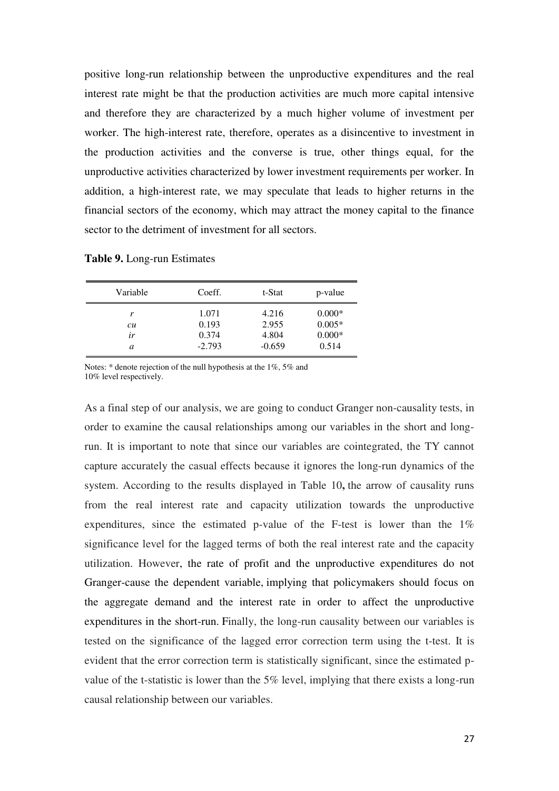positive long-run relationship between the unproductive expenditures and the real interest rate might be that the production activities are much more capital intensive and therefore they are characterized by a much higher volume of investment per worker. The high-interest rate, therefore, operates as a disincentive to investment in the production activities and the converse is true, other things equal, for the unproductive activities characterized by lower investment requirements per worker. In addition, a high-interest rate, we may speculate that leads to higher returns in the financial sectors of the economy, which may attract the money capital to the finance sector to the detriment of investment for all sectors.

| Variable | Coeff.   | t-Stat   | p-value  |
|----------|----------|----------|----------|
| cu       | 1.071    | 4.216    | $0.000*$ |
|          | 0.193    | 2.955    | $0.005*$ |
| ir       | 0.374    | 4.804    | $0.000*$ |
| a        | $-2.793$ | $-0.659$ | 0.514    |

**Table 9.** Long-run Estimates

Notes: \* denote rejection of the null hypothesis at the 1%, 5% and 10% level respectively.

As a final step of our analysis, we are going to conduct Granger non-causality tests, in order to examine the causal relationships among our variables in the short and longrun. It is important to note that since our variables are cointegrated, the TY cannot capture accurately the casual effects because it ignores the long-run dynamics of the system. According to the results displayed in Table 10**,** the arrow of causality runs from the real interest rate and capacity utilization towards the unproductive expenditures, since the estimated p-value of the F-test is lower than the 1% significance level for the lagged terms of both the real interest rate and the capacity utilization. However, the rate of profit and the unproductive expenditures do not Granger-cause the dependent variable, implying that policymakers should focus on the aggregate demand and the interest rate in order to affect the unproductive expenditures in the short-run. Finally, the long-run causality between our variables is tested on the significance of the lagged error correction term using the t-test. It is evident that the error correction term is statistically significant, since the estimated pvalue of the t-statistic is lower than the 5% level, implying that there exists a long-run causal relationship between our variables.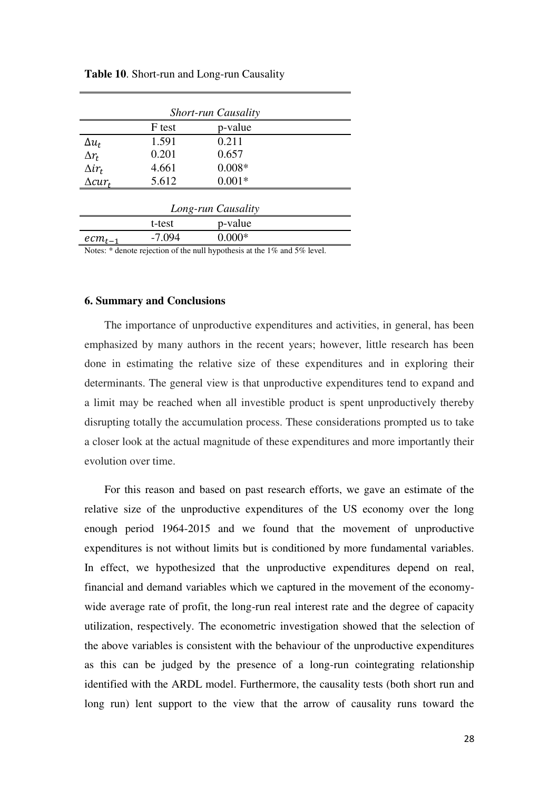|                | F test | <b>Short-run Causality</b><br>p-value |  |
|----------------|--------|---------------------------------------|--|
| $\Delta u_t$   | 1.591  | 0.211                                 |  |
| $\Delta r_t$   | 0.201  | 0.657                                 |  |
| $\Delta i r_t$ | 4.661  | $0.008*$                              |  |
| $\Delta cur_t$ | 5.612  | $0.001*$                              |  |
|                |        |                                       |  |

**Table 10**. Short-run and Long-run Causality

Notes: \* denote rejection of the null hypothesis at the 1% and 5% level.

t-test p-value

#### **6. Summary and Conclusions**

 $ecm_{t-1}$  -7.094 0.000\*

The importance of unproductive expenditures and activities, in general, has been emphasized by many authors in the recent years; however, little research has been done in estimating the relative size of these expenditures and in exploring their determinants. The general view is that unproductive expenditures tend to expand and a limit may be reached when all investible product is spent unproductively thereby disrupting totally the accumulation process. These considerations prompted us to take a closer look at the actual magnitude of these expenditures and more importantly their evolution over time.

For this reason and based on past research efforts, we gave an estimate of the relative size of the unproductive expenditures of the US economy over the long enough period 1964-2015 and we found that the movement of unproductive expenditures is not without limits but is conditioned by more fundamental variables. In effect, we hypothesized that the unproductive expenditures depend on real, financial and demand variables which we captured in the movement of the economywide average rate of profit, the long-run real interest rate and the degree of capacity utilization, respectively. The econometric investigation showed that the selection of the above variables is consistent with the behaviour of the unproductive expenditures as this can be judged by the presence of a long-run cointegrating relationship identified with the ARDL model. Furthermore, the causality tests (both short run and long run) lent support to the view that the arrow of causality runs toward the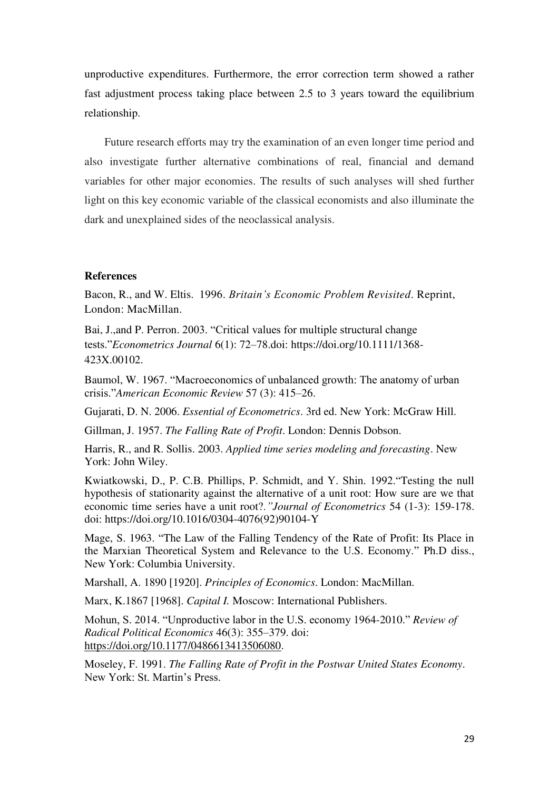unproductive expenditures. Furthermore, the error correction term showed a rather fast adjustment process taking place between 2.5 to 3 years toward the equilibrium relationship.

Future research efforts may try the examination of an even longer time period and also investigate further alternative combinations of real, financial and demand variables for other major economies. The results of such analyses will shed further light on this key economic variable of the classical economists and also illuminate the dark and unexplained sides of the neoclassical analysis.

## **References**

Bacon, R., and W. Eltis. 1996. *Britain's Economic Problem Revisited*. Reprint, London: MacMillan.

Bai, J.,and P. Perron. 2003. "Critical values for multiple structural change tests."*Econometrics Journal* 6(1): 72–78.doi: [https://doi.org/10.1111/1368-](https://doi.org/10.1111/1368-423X.00102) [423X.00102.](https://doi.org/10.1111/1368-423X.00102)

Baumol, W. 1967. "Macroeconomics of unbalanced growth: The anatomy of urban crisis."*American Economic Review* 57 (3): 415–26.

Gujarati, D. N. 2006. *Essential of Econometrics*. 3rd ed. New York: McGraw Hill.

Gillman, J. 1957. *The Falling Rate of Profit*. London: Dennis Dobson.

Harris, R., and R. Sollis. 2003. *Applied time series modeling and forecasting*. New York: John Wiley.

Kwiatkowski, D., P. C.Β. Phillips, P. Schmidt, and Y. Shin. 1992."Testing the null hypothesis of stationarity against the alternative of a unit root: How sure are we that economic time series have a unit root?*."Journal of Econometrics* 54 (1-3): 159-178. doi: https://doi.org/10.1016/0304-4076(92)90104-Y

Mage, S. 1963. "The Law of the Falling Tendency of the Rate of Profit: Its Place in the Marxian Theoretical System and Relevance to the U.S. Economy." Ph.D diss., New York: Columbia University.

Marshall, A. 1890 [1920]. *Principles of Economics*. London: MacMillan.

Marx, K.1867 [1968]. *Capital I*. Moscow: International Publishers.

Mohun, S. 2014. "Unproductive labor in the U.S. economy 1964-2010." *Review of Radical Political Economics* 46(3): 355–379. doi: [https://doi.org/10.1177/0486613413506080.](https://doi.org/10.1177%2F0486613413506080)

Moseley, F. 1991. *The Falling Rate of Profit in the Postwar United States Economy*. New York: St. Martin's Press.